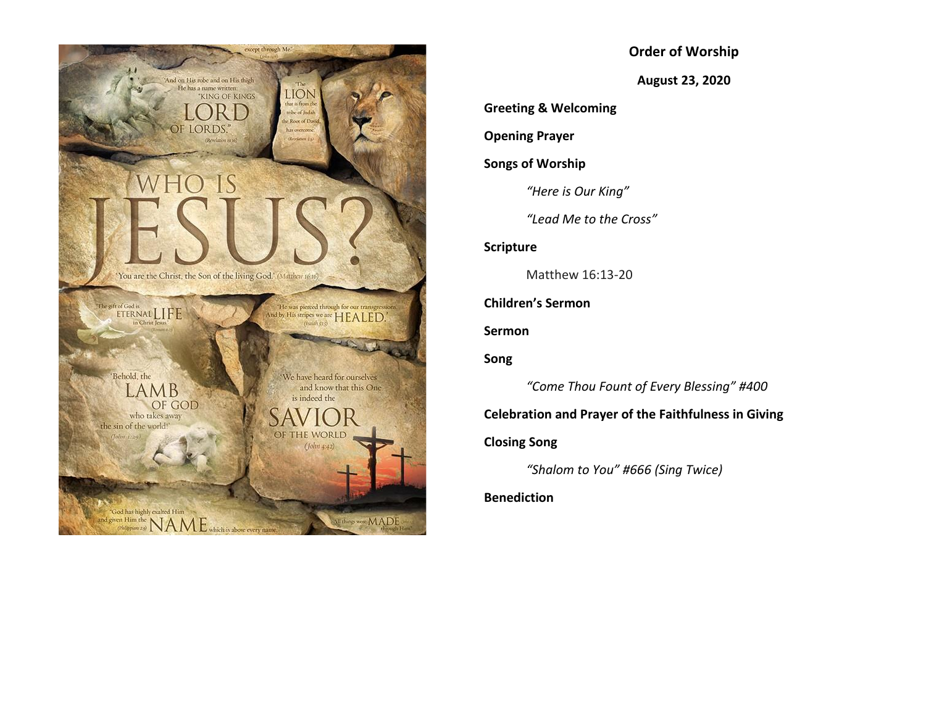

**Order of Worship August 23, 2020 Greeting & Welcoming Opening Prayer Songs of Worship** *"Here is Our King" "Lead Me to the Cross"* **Scripture** Matthew 16:13-20 **Children's Sermon Sermon Song** *"Come Thou Fount of Every Blessing" #400* **Celebration and Prayer of the Faithfulness in Giving Closing Song** *"Shalom to You" #666 (Sing Twice)* **Benediction**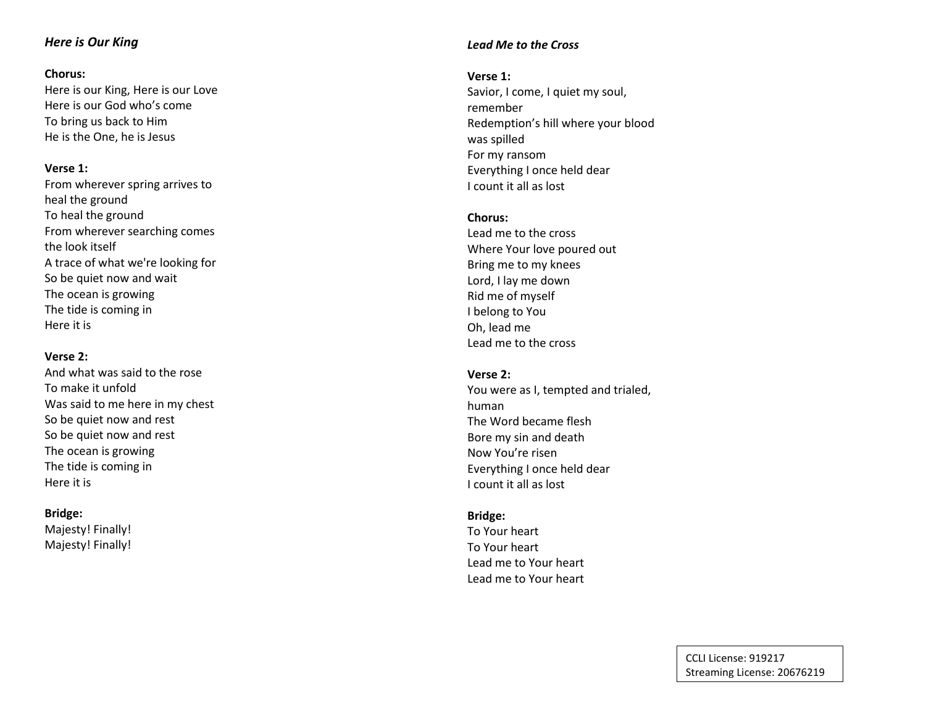### *Here is Our King*

#### **Chorus:**

Here is our King, Here is our Love Here is our God who's come To bring us back to Him He is the One, he is Jesus

## **Verse 1:**

From wherever spring arrives to heal the ground To heal the ground From wherever searching comes the look itself A trace of what we're looking for So be quiet now and wait The ocean is growing The tide is coming in Here it is

## **Verse 2:**

And what was said to the rose To make it unfold Was said to me here in my chest So be quiet now and rest So be quiet now and rest The ocean is growing The tide is coming in Here it is

#### **Bridge:**

Majesty! Finally! Majesty! Finally!

## *Lead Me to the Cross*

#### **Verse 1:**

Savior, I come, I quiet my soul, remember Redemption's hill where your blood was spilled For my ransom Everything I once held dear I count it all as lost

### **Chorus:**

Lead me to the cross Where Your love poured out Bring me to my knees Lord, I lay me down Rid me of myself I belong to You Oh, lead me Lead me to the cross

## **Verse 2:**

You were as I, tempted and trialed, human The Word became flesh Bore my sin and death Now You're risen Everything I once held dear I count it all as lost

# **Bridge:**

To Your heart To Your heart Lead me to Your heart Lead me to Your heart